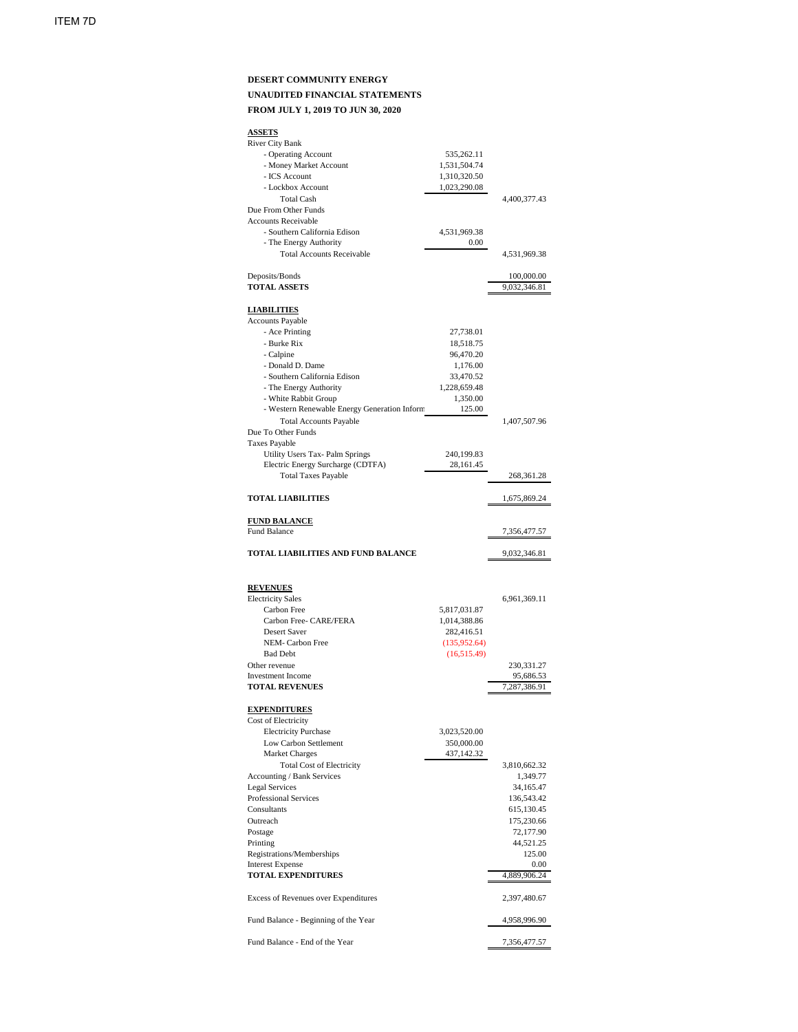## **DESERT COMMUNITY ENERGY UNAUDITED FINANCIAL STATEMENTS FROM JULY 1, 2019 TO JUN 30, 2020**

## **ASSETS** River City Bank - Operating Account 535,262.11 - Money Market Account 1,531,504.74 - ICS Account 1,310,320.50<br>- Lockbox Account 1,023,290.08 - Lockbox Account Total Cash 4,400,377.43 Due From Other Funds Accounts Receivable - Southern California Edison 4,531,969.38 - The Energy Authority 0.00 Total Accounts Receivable 4,531,969.38 Deposits/Bonds 100,000.00 **TOTAL ASSETS** 9,032,346.81 **LIABILITIES** Accounts Payable - Ace Printing 27,738.01 - Burke Rix 18,518.75 - Calpine 96,470.20 - Donald D. Dame 1,176.00 - Southern California Edison 33,470.52 - The Energy Authority 1,228,659.48 - White Rabbit Group 1,350.00 - Western Renewable Energy Generation Inform (125.00) Total Accounts Payable 1,407,507.96 Due To Other Funds Taxes Payable Utility Users Tax- Palm Springs 240,199.83 Electric Energy Surcharge (CDTFA) 28,161.45 Total Taxes Payable 268,361.28 **TOTAL LIABILITIES** 1,675,869.24 **FUND BALANCE** Fund Balance 7,356,477.57 **TOTAL LIABILITIES AND FUND BALANCE** 9,032,346.81 **REVENUES** Electricity Sales 6,961,369.11

| <b>EIGULICITY DAIGS</b> |              | 0,701,907.11 |
|-------------------------|--------------|--------------|
| Carbon Free             | 5,817,031.87 |              |
| Carbon Free- CARE/FERA  | 1,014,388.86 |              |
| Desert Saver            | 282,416.51   |              |
| NEM- Carbon Free        | (135,952.64) |              |
| <b>Bad Debt</b>         | (16,515.49)  |              |
| Other revenue           |              | 230,331.27   |
| Investment Income       |              | 95,686.53    |

#### **TOTAL REVENUES** 7,287,386.91

#### **EXPENDITURES**

| Cost of Electricity                         |              |
|---------------------------------------------|--------------|
| <b>Electricity Purchase</b>                 | 3,023,520.00 |
| Low Carbon Settlement                       | 350,000.00   |
| <b>Market Charges</b>                       | 437,142.32   |
| <b>Total Cost of Electricity</b>            | 3,810,662.32 |
| <b>Accounting / Bank Services</b>           | 1,349.77     |
| <b>Legal Services</b>                       | 34,165.47    |
| <b>Professional Services</b>                | 136,543.42   |
| Consultants                                 | 615,130.45   |
| Outreach                                    | 175,230.66   |
| Postage                                     | 72,177.90    |
| Printing                                    | 44,521.25    |
| Registrations/Memberships                   | 125.00       |
| <b>Interest Expense</b>                     | 0.00         |
| <b>TOTAL EXPENDITURES</b>                   | 4,889,906.24 |
| <b>Excess of Revenues over Expenditures</b> | 2,397,480.67 |
| Fund Balance - Beginning of the Year        | 4,958,996.90 |
| Fund Balance - End of the Year              | 7,356,477.57 |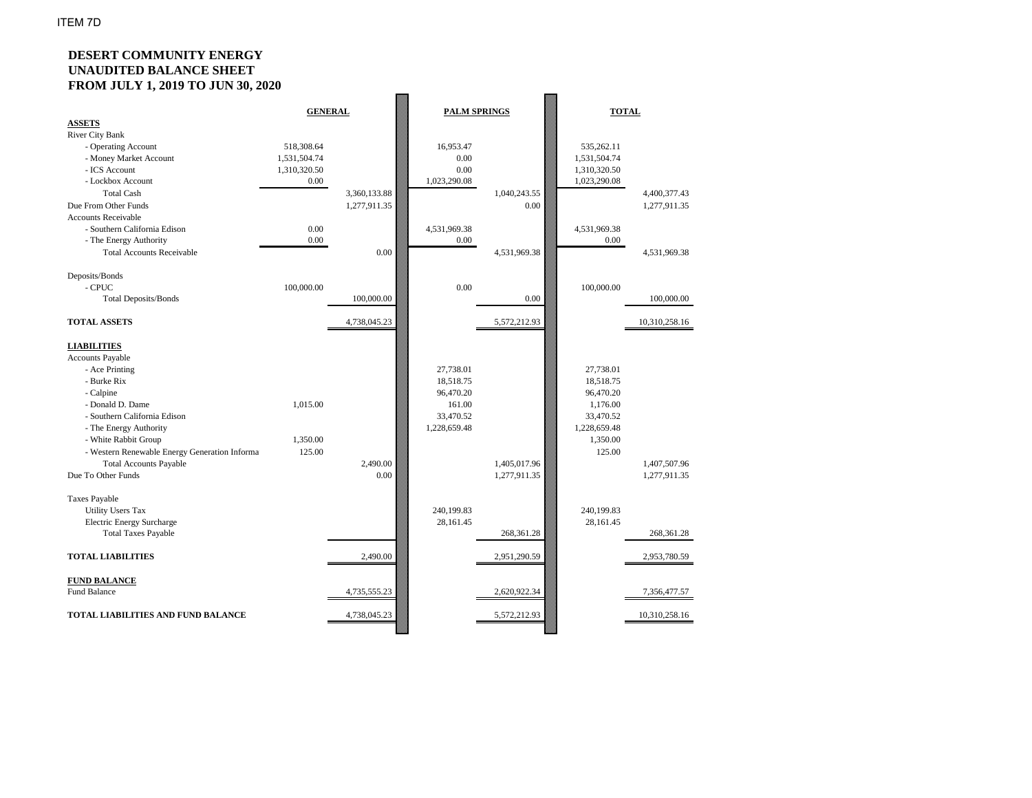# **DESERT COMMUNITY ENERGY UNAUDITED BALANCE SHEET FROM JULY 1, 2019 TO JUN 30, 2020**

| 1.101100111110171700100100017                 |                |              |              |                     |              |               |  |
|-----------------------------------------------|----------------|--------------|--------------|---------------------|--------------|---------------|--|
|                                               | <b>GENERAL</b> |              |              | <b>PALM SPRINGS</b> |              | <b>TOTAL</b>  |  |
| <b>ASSETS</b>                                 |                |              |              |                     |              |               |  |
| <b>River City Bank</b>                        |                |              |              |                     |              |               |  |
| - Operating Account                           | 518,308.64     |              | 16,953.47    |                     | 535,262.11   |               |  |
| - Money Market Account                        | 1,531,504.74   |              | 0.00         |                     | 1,531,504.74 |               |  |
| - ICS Account                                 | 1,310,320.50   |              | 0.00         |                     | 1,310,320.50 |               |  |
| - Lockbox Account                             | $0.00\,$       |              | 1,023,290.08 |                     | 1,023,290.08 |               |  |
| <b>Total Cash</b>                             |                | 3,360,133.88 |              | 1,040,243.55        |              | 4,400,377.43  |  |
| Due From Other Funds                          |                | 1,277,911.35 |              | 0.00                |              | 1,277,911.35  |  |
| <b>Accounts Receivable</b>                    |                |              |              |                     |              |               |  |
| - Southern California Edison                  | 0.00           |              | 4,531,969.38 |                     | 4,531,969.38 |               |  |
| - The Energy Authority                        | 0.00           |              | 0.00         |                     | 0.00         |               |  |
| <b>Total Accounts Receivable</b>              |                | 0.00         |              | 4,531,969.38        |              | 4,531,969.38  |  |
|                                               |                |              |              |                     |              |               |  |
| Deposits/Bonds                                |                |              |              |                     |              |               |  |
| - CPUC                                        | 100,000.00     |              | 0.00         |                     | 100,000.00   |               |  |
| <b>Total Deposits/Bonds</b>                   |                | 100,000.00   |              | 0.00                |              | 100,000.00    |  |
|                                               |                |              |              |                     |              |               |  |
| <b>TOTAL ASSETS</b>                           |                | 4,738,045.23 |              | 5,572,212.93        |              | 10,310,258.16 |  |
|                                               |                |              |              |                     |              |               |  |
| <b>LIABILITIES</b>                            |                |              |              |                     |              |               |  |
| <b>Accounts Payable</b>                       |                |              |              |                     |              |               |  |
| - Ace Printing                                |                |              | 27,738.01    |                     | 27,738.01    |               |  |
| - Burke Rix                                   |                |              | 18,518.75    |                     | 18,518.75    |               |  |
| - Calpine                                     |                |              | 96,470.20    |                     | 96,470.20    |               |  |
| - Donald D. Dame                              | 1,015.00       |              | 161.00       |                     | 1,176.00     |               |  |
| - Southern California Edison                  |                |              | 33,470.52    |                     | 33,470.52    |               |  |
| - The Energy Authority                        |                |              | 1,228,659.48 |                     | 1,228,659.48 |               |  |
| - White Rabbit Group                          | 1,350.00       |              |              |                     | 1,350.00     |               |  |
| - Western Renewable Energy Generation Informa | 125.00         |              |              |                     | 125.00       |               |  |
| <b>Total Accounts Payable</b>                 |                | 2,490.00     |              | 1,405,017.96        |              | 1,407,507.96  |  |
| Due To Other Funds                            |                | 0.00         |              | 1,277,911.35        |              | 1,277,911.35  |  |
|                                               |                |              |              |                     |              |               |  |
| <b>Taxes Payable</b>                          |                |              |              |                     |              |               |  |
| <b>Utility Users Tax</b>                      |                |              | 240,199.83   |                     | 240,199.83   |               |  |
| <b>Electric Energy Surcharge</b>              |                |              | 28,161.45    |                     | 28,161.45    |               |  |
| <b>Total Taxes Payable</b>                    |                |              |              | 268,361.28          |              | 268,361.28    |  |
|                                               |                |              |              |                     |              |               |  |
| <b>TOTAL LIABILITIES</b>                      |                | 2,490.00     |              | 2,951,290.59        |              | 2,953,780.59  |  |
|                                               |                |              |              |                     |              |               |  |
| <b>FUND BALANCE</b>                           |                |              |              |                     |              |               |  |
| <b>Fund Balance</b>                           |                | 4,735,555.23 |              | 2,620,922.34        |              | 7,356,477.57  |  |
|                                               |                |              |              |                     |              |               |  |
| TOTAL LIABILITIES AND FUND BALANCE            |                | 4,738,045.23 |              | 5,572,212.93        |              | 10,310,258.16 |  |
|                                               |                |              |              |                     |              |               |  |
|                                               |                |              |              |                     |              |               |  |